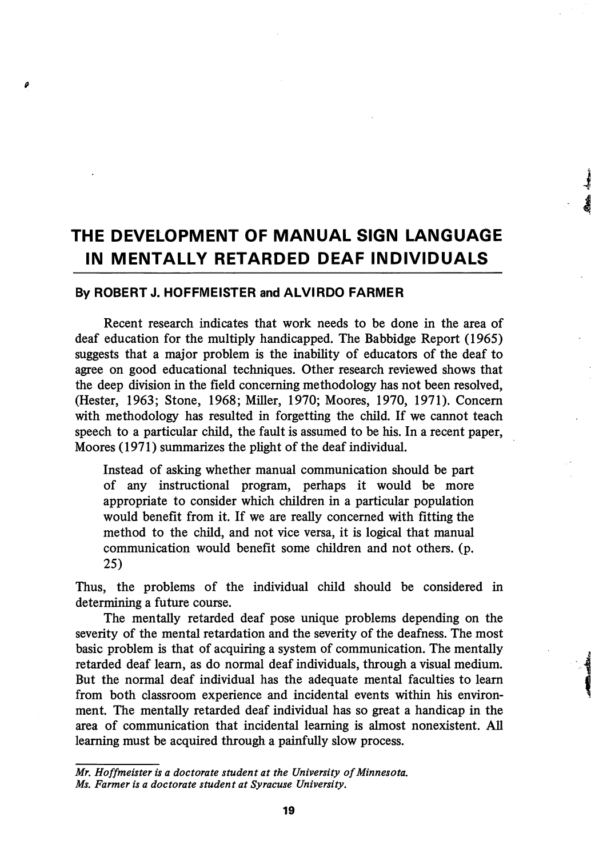# THE DEVELOPMENT OF MANUAL SIGN LANGUAGE IN MENTALLY RETARDED DEAF INDIVIDUALS

## By ROBERT J. HOFFMEISTER and ALVIRDO FARMER

ø

Recent research indicates that work needs to be done in the area of deaf education for the multiply handicapped. The Babbidge Report (1965) suggests that a major problem is the inability of educators of the deaf to agree on good educational techniques. Other research reviewed shows that the deep division in the field concerning methodology has not been resolved, (Hester, 1963; Stone, 1968; Miller, 1970; Moores, 1970, 1971). Concern with methodology has resulted in forgetting the child. If we cannot teach speech to a particular child, the fault is assumed to be his. In a recent paper, Moores (1971) summarizes the plight of the deaf individual.

Instead of asking whether manual communication should be part of any instructional program, perhaps it would be more appropriate to consider which children in a particular population would benefit from it. If we are really concerned with fitting the method to the child, and not vice versa, it is logical that manual communication would benefit some children and not others, (p. 25)

Thus, the problems of the individual child should be considered in determining a future course.

The mentally retarded deaf pose unique problems depending on the severity of the mental retardation and the severity of the deafness. The most basic problem is that of acquiring a system of communication. The mentally retarded deaf leam, as do normal deaf individuals, through a visual medium. But the normal deaf individual has the adequate mental faculties to leam from both classroom experience and incidental events within his environ ment. The mentally retarded deaf individual has so great a handicap in the area of communication that incidental learning is almost nonexistent. All learning must be acquired through a painfully slow process.

Mr. Hoffmeister is a doctorate student at the University of Minnesota. Ms. Farmer is a doctorate student at Syracuse University.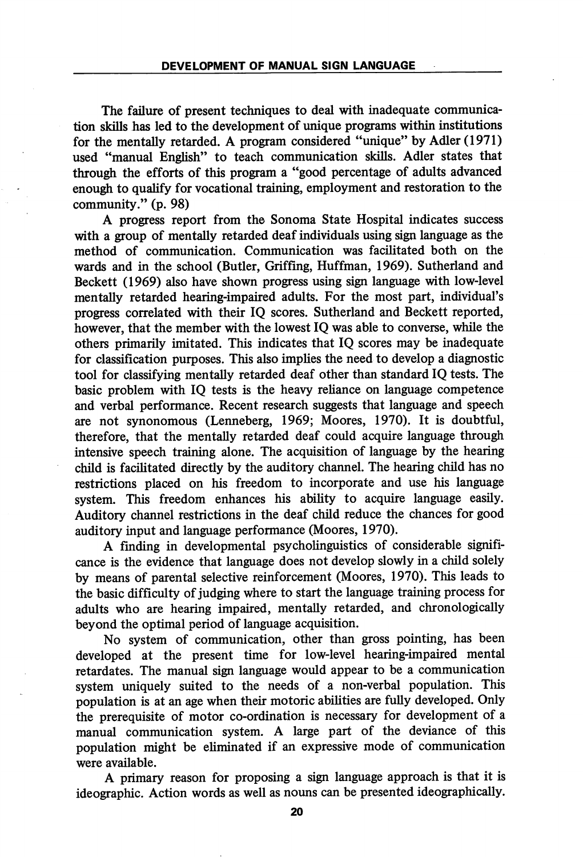The failure of present techniques to deal with inadequate communication skills has led to the development of unique programs within institutions for the mentally retarded. A program considered "unique" by Adler (1971) used "manual English" to teach communication skills. Adler states that through the efforts of this program a "good percentage of adults advanced enough to qualify for vocational training, employment and restoration to the community." (p. 98)

A progress report from the Sonoma State Hospital indicates success with a group of mentally retarded deaf individuals using sign language as the method of communication. Communication was facilitated both on the wards and in the school (Butler, Griffing, Huffman, 1969). Sutherland and Beckett (1969) also have shown progress using sign language with low-level mentally retarded hearing-impaired adults. For the most part, individual's progress correlated with their IQ scores. Sutherland and Beckett reported, however, that the member with the lowest IQ was able to converse, while the others primarily imitated. This indicates that IQ scores may be inadequate for classification purposes. This also implies the need to develop a diagnostic tool for classifying mentally retarded deaf other than standard IQ tests. The basic problem with IQ tests is the heavy reliance on language competence and verbal performance. Recent research suggests that language and speech are not synonomous (Lenneberg, 1969; Moores, 1970). It is doubtful, therefore, that the mentally retarded deaf could acquire language through intensive speech training alone. The acquisition of language by the hearing child is facilitated directly by the auditory channel. The hearing child has no restrictions placed on his freedom to incorporate and use his language system. This freedom enhances his ability to acquire language easily. Auditory channel restrictions in the deaf child reduce the chances for good auditory input and language performance (Moores, 1970).

A finding in developmental psycholinguistics of considerable signifi cance is the evidence that language does not develop slowly in a child solely by means of parental selective reinforcement (Moores, 1970). This leads to the basic difficulty of judging where to start the language training process for adults who are hearing impaired, mentally retarded, and chronologically beyond the optimal period of language acquisition.

No system of communication, other than gross pointing, has been developed at the present time for low-level hearing-impaired mental retardates. The manual sign language would appear to be a communication system uniquely suited to the needs of a non-verbal population. This population is at an age when their motoric abilities are fully developed. Only the prerequisite of motor co-ordination is necessary for development of a manual communication system. A large part of the deviance of this population might be eliminated if an expressive mode of communication were available.

A primary reason for proposing a sign language approach is that it is ideographic. Action words as well as nouns can be presented ideographically.

20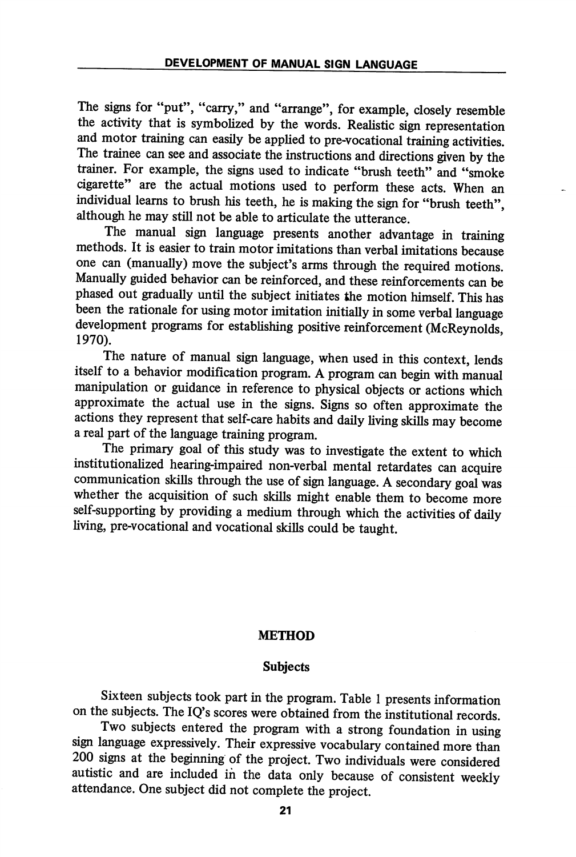The signs for "put", "carry," and "arrange", for example, closely resemble the activity that is symbolized by the words. Realistic sign representation and motor training can easily be applied to pre-vocational training activities. The trainee can see and associate the instructions and directions given by the trainer. For example, the signs used to indicate "brush teeth" and "smoke cigarette" are the actual motions used to perform these acts. When an individual learns to brush his teeth, he is making the sign for "brush teeth", although he may still not be able to articulate the utterance.

The manual sign language presents another advantage in training methods. It is easier to train motor imitations than verbal imitations because one can (manually) move the subject's arms through the required motions. Manually guided behavior can be reinforced, and these reinforcements can be phased out gradually until the subject initiates the motion himself. This has been the rationale for using motor imitation initially in some verbal language development programs for establishing positive reinforcement (McReynolds, 1970).

The nature of manual sign language, when used in this context, lends itself to a behavior modification program. A program can begin with manual manipulation or guidance in reference to physical objects or actions which approximate the actual use in the signs. Signs so often approximate the actions they represent that self-care habits and daily living skills may become a real part of the language training program.

The primary goal of this study was to investigate the extent to which institutionalized hearing-impaired non-verbal mental retardates can acquire communication skills through the use of sign language. A secondary goal was whether the acquisition of such skills might enable them to become more self-supporting by providing a medium through which the activities of daily living, pre-vocational and vocational skills could be taught.

## METHOD

## Subjects

Sixteen subjects took part in the program. Table 1 presents information on the subjects. The IQ's scores were obtained from the institutional records.

Two subjects entered the program with a strong foundation in using sign language expressively. Their expressive vocabulary contained more than 200 signs at the beginning of the project. Two individuals were considered autistic and are included in the data only because of consistent weekly attendance. One subject did not complete the project.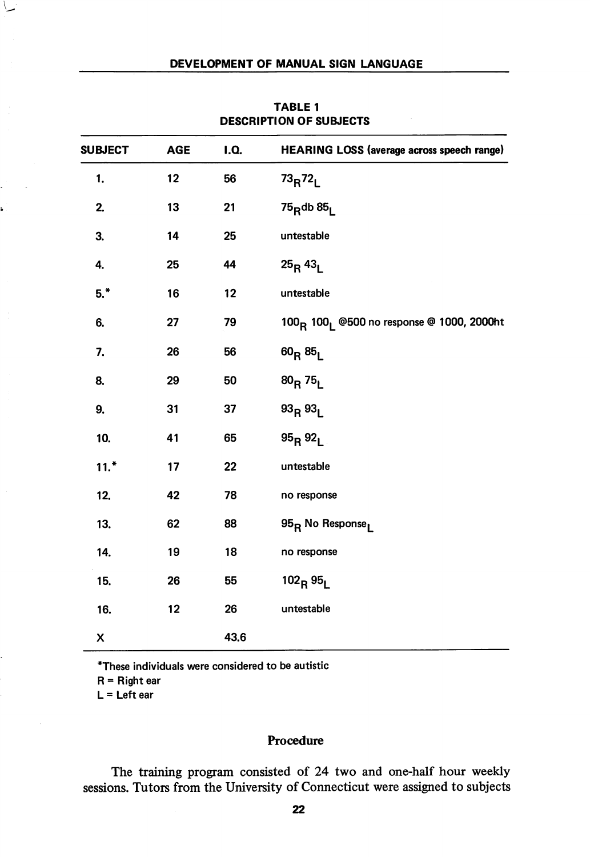| <b>SUBJECT</b> | <b>AGE</b> | <b>I.Q.</b> | <b>HEARING LOSS (average across speech range)</b>                 |  |
|----------------|------------|-------------|-------------------------------------------------------------------|--|
| 1.             | 12         | 56          | $73_R72_L$                                                        |  |
| 2.             | 13         | 21          | $75$ <sub>R</sub> db $85$ <sub>L</sub>                            |  |
| 3.             | 14         | 25          | untestable                                                        |  |
| 4.             | 25         | 44          | $25_R 43_L$                                                       |  |
| $5.*$          | 16         | 12          | untestable                                                        |  |
| 6.             | 27         | 79          | 100 <sub>R</sub> 100 <sub>1</sub> @500 no response @ 1000, 2000ht |  |
| 7.             | 26         | 56          | $60_R 85_L$                                                       |  |
| 8.             | 29         | 50          | $80_R 75_L$                                                       |  |
| 9.             | 31         | 37          | 93R93L                                                            |  |
| 10.            | 41         | 65          | $95_R 92_L$                                                       |  |
| $11.*$         | 17         | 22          | untestable                                                        |  |
| 12.            | 42         | 78          | no response                                                       |  |
| 13.            | 62         | 88          | 95 <sub>R</sub> No Response <sub>l</sub>                          |  |
| 14.            | 19         | 18          | no response                                                       |  |
| 15.            | 26         | 55          | $102_R95_L$                                                       |  |
| 16.            | 12         | 26          | untestable                                                        |  |
| X              |            | 43.6        |                                                                   |  |

TABLE 1 DESCRIPTION OF SUBJECTS

\*These individuals were considered to be autistic

 $R =$  Right ear

 $L = Let$ t ear

# Procedure

The training program consisted of 24 two and one-half hour weekly sessions. Tutors from the University of Connecticut were assigned to subjects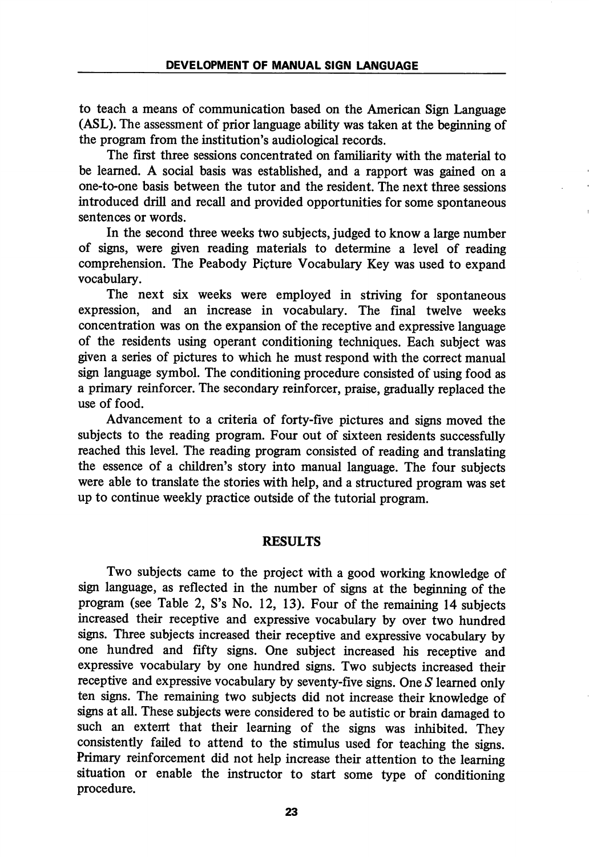to teach a means of communication based on the American Sign Language (ASL). The assessment of prior language ability was taken at the beginning of the program from the institution's audiological records.

The first three sessions concentrated on familiarity with the material to be learned. A social basis was established, and a rapport was gained on a one-to-one basis between the tutor and the resident. The next three sessions introduced drill and recall and provided opportunities for some spontaneous sentences or words.

In the second three weeks two subjects, judged to know a large number of signs, were given reading materials to determine a level of reading comprehension. The Peabody Picture Vocabulary Key was used to expand vocabulary.

The next six weeks were employed in striving for spontaneous expression, and an increase in vocabulary. The final twelve weeks concentration was on the expansion of the receptive and expressive language of the residents using operant conditioning techniques. Each subject was given a series of pictures to which he must respond with the correct manual sign language symbol. The conditioning procedure consisted of using food as a primary reinforcer. The secondary reinforcer, praise, gradually replaced the use of food.

Advancement to a criteria of forty-five pictures and signs moved the subjects to the reading program. Four out of sixteen residents successfully reached this level. The reading program consisted of reading and translating the essence of a children's story into manual language. The four subjects were able to translate the stories with help, and a structured program was set up to continue weekly practice outside of the tutorial program.

## RESULTS

Two subjects came to the project with a good working knowledge of sign language, as reflected in the number of signs at the beginning of the program (see Table 2, S's No. 12, 13). Four of the remaining 14 subjects increased their receptive and expressive vocabulary by over two hundred signs. Three subjects increased their receptive and expressive vocabulary by one hundred and fifty signs. One subject increased his receptive and expressive vocabulary by one hundred signs. Two subjects increased their receptive and expressive vocabulary by seventy-five signs. One S learned only ten signs. The remaining two subjects did not increase their knowledge of signs at all. These subjects were considered to be autistic or brain damaged to such an extent that their learning of the signs was inhibited. They consistently failed to attend to the stimulus used for teaching the signs. Primary reinforcement did not help increase their attention to the learning situation or enable the instructor to start some type of conditioning procedure.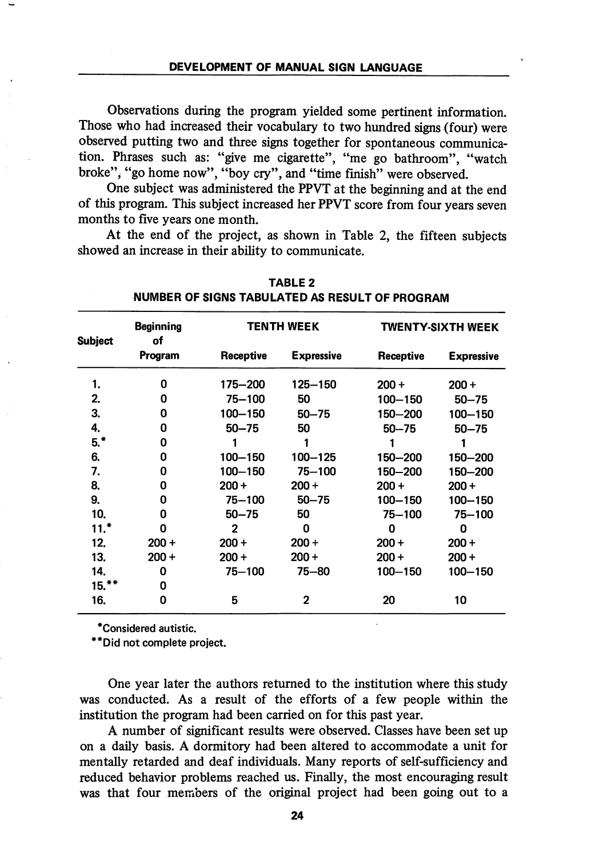Observations during the program yielded some pertinent information. Those who had increased their vocabulary to two hundred signs (four) were observed putting two and three signs together for spontaneous communica tion. Phrases such as: "give me cigarette", "me go bathroom", "watch broke", "go home now", "boy cry", and "time finish" were observed.

One subject was administered the PPVT at the beginning and at the end of this program. This subject increased her PPVT score from four years seven months to five years one month.

At the end of the project, as shown in Table 2, the fifteen subjects showed an increase in their ability to communicate.

| <b>Subject</b> | <b>Beginning</b><br>of<br>Program |              | <b>TENTH WEEK</b> | TWENTY-SIXTH WEEK |                   |
|----------------|-----------------------------------|--------------|-------------------|-------------------|-------------------|
|                |                                   | Receptive    | <b>Expressive</b> | Receptive         | <b>Expressive</b> |
| 1.             | 0                                 | 175-200      | 125-150           | $200 +$           | $200 +$           |
| 2.             | 0                                 | 75-100       | 50                | $100 - 150$       | $50 - 75$         |
| 3.             | 0                                 | $100 - 150$  | $50 - 75$         | 150-200           | $100 - 150$       |
| 4.             | 0                                 | $50 - 75$    | 50                | $50 - 75$         | $50 - 75$         |
| $5.*$          | 0                                 |              | 1                 |                   |                   |
| 6.             | 0                                 | 100-150      | 100-125           | 150-200           | 150-200           |
| 7.             | 0                                 | 100-150      | $75 - 100$        | 150-200           | 150-200           |
| 8.             | 0                                 | $200 +$      | $200 +$           | $200 +$           | $200 +$           |
| 9.             | 0                                 | $75 - 100$   | $50 - 75$         | 100-150           | $100 - 150$       |
| 10.            | 0                                 | $50 - 75$    | 50                | $75 - 100$        | 75-100            |
| 11.*           | 0                                 | $\mathbf{2}$ | 0                 | 0                 | 0                 |
| 12.            | $200 +$                           | $200 +$      | $200 +$           | $200 +$           | $200 +$           |
| 13.            | $200 +$                           | $200 +$      | $200 +$           | $200 +$           | $200 +$           |
| 14.            | 0                                 | $75 - 100$   | 75-80             | $100 - 150$       | 100-150           |
| $15.**$        | 0                                 |              |                   |                   |                   |
| 16.            | 0                                 | 5            | 2                 | 20                | 10                |

TABLE 2 NUMBER OF SIGNS TABULATED AS RESULT OF PROGRAM

'Considered autistic.

"Did not complete project.

One year later the authors returned to the institution where this study was conducted. As a result of the efforts of a few people within the institution the program had been carried on for this past year.

A number of significant results were observed. Classes have been set up on a daily basis. A dormitory had been altered to accommodate a unit for mentally retarded and deaf individuals. Many reports of self-sufficiency and reduced behavior problems reached us. Finally, the most encouraging result was that four members of the original project had been going out to a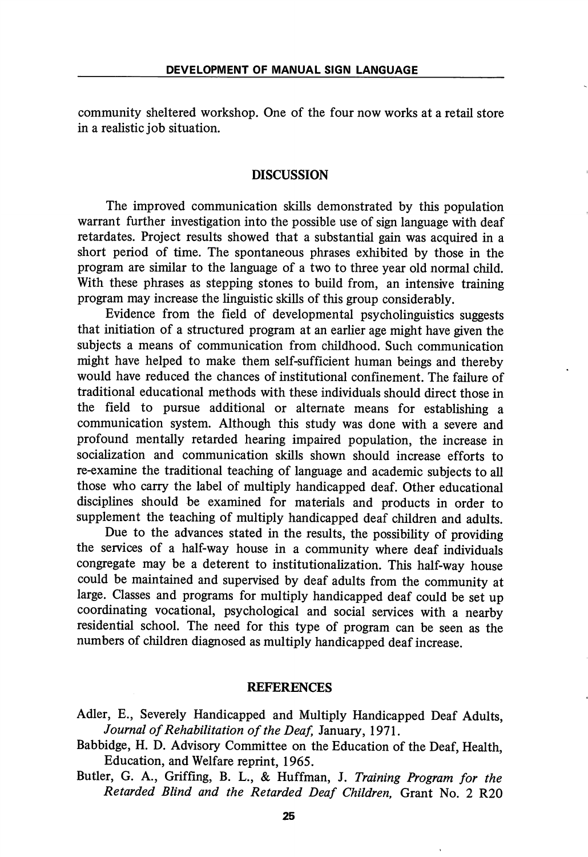community sheltered workshop. One of the four now works at a retail store in a realistic job situation.

## DISCUSSION

The improved communication skills demonstrated by this population warrant further investigation into the possible use of sign language with deaf retardates. Project results showed that a substantial gain was acquired in a short period of time. The spontaneous phrases exhibited by those in the program are similar to the language of a two to three year old normal child. With these phrases as stepping stones to build from, an intensive training program may increase the linguistic skills of this group considerably.

Evidence from the field of developmental psycholinguistics suggests that initiation of a structured program at an earlier age might have given the subjects a means of communication from childhood. Such communication might have helped to make them self-sufficient human beings and thereby would have reduced the chances of institutional confinement. The failure of traditional educational methods with these individuals should direct those in the field to pursue additional or alternate means for establishing a communication system. Although this study was done with a severe and profound mentally retarded hearing impaired population, the increase in socialization and communication skills shown should increase efforts to re-examine the traditional teaching of language and academic subjects to all those who carry the label of multiply handicapped deaf. Other educational disciplines should be examined for materials and products in order to supplement the teaching of multiply handicapped deaf children and adults.

Due to the advances stated in the results, the possibility of providing the services of a half-way house in a community where deaf individuals congregate may be a deterent to institutionalization. This half-way house could be maintained and supervised by deaf adults from the community at large. Classes and programs for multiply handicapped deaf could be set up coordinating vocational, psychological and social services with a nearby residential school. The need for this type of program can be seen as the numbers of children diagnosed as multiply handicapped deaf increase.

#### REFERENCES

- Adler, E., Severely Handicapped and Multiply Handicapped Deaf Adults, Journal of Rehabilitation of the Deaf, January, 1971.
- Babbidge, H. D. Advisory Committee on the Education of the Deaf, Health, Education, and Welfare reprint, 1965.
- Butler, G. A., Griffing, B. L., & Huffman, J. Training Program for the Retarded Blind and the Retarded Deaf Children, Grant No. 2 R20